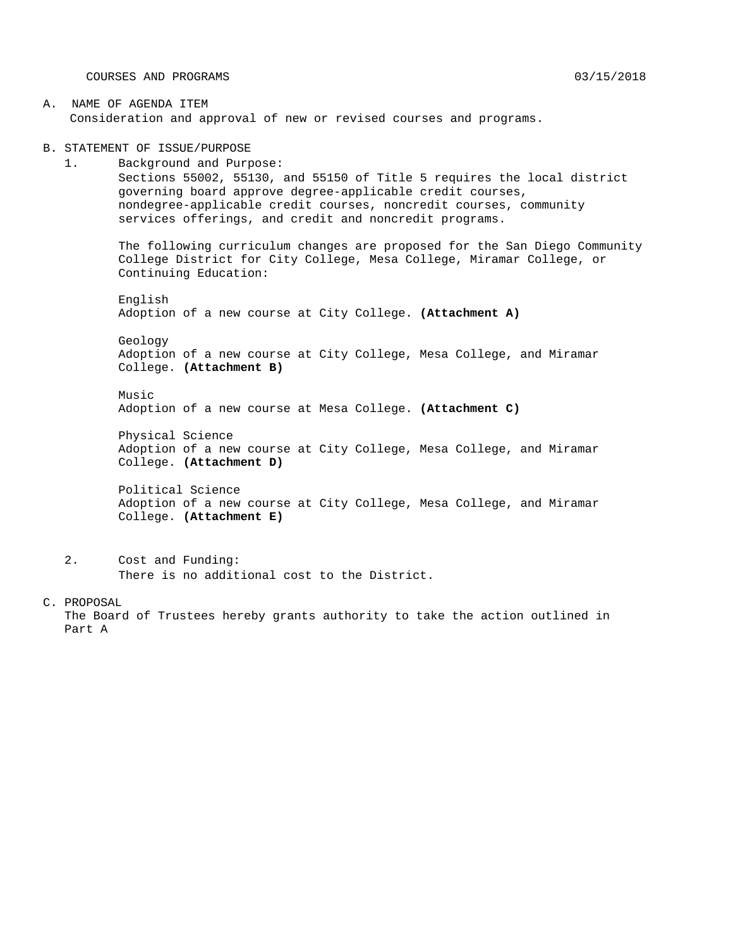COURSES AND PROGRAMS 03/15/2018

A. NAME OF AGENDA ITEM Consideration and approval of new or revised courses and programs.

B. STATEMENT OF ISSUE/PURPOSE

1. Background and Purpose: Sections 55002, 55130, and 55150 of Title 5 requires the local district governing board approve degree-applicable credit courses, nondegree-applicable credit courses, noncredit courses, community services offerings, and credit and noncredit programs.

The following curriculum changes are proposed for the San Diego Community College District for City College, Mesa College, Miramar College, or Continuing Education:

English Adoption of a new course at City College. **(Attachment A)**

Geology Adoption of a new course at City College, Mesa College, and Miramar College. **(Attachment B)**

Music Adoption of a new course at Mesa College. **(Attachment C)**

Physical Science Adoption of a new course at City College, Mesa College, and Miramar College. **(Attachment D)**

Political Science Adoption of a new course at City College, Mesa College, and Miramar College. **(Attachment E)**

2. Cost and Funding: There is no additional cost to the District.

C. PROPOSAL

The Board of Trustees hereby grants authority to take the action outlined in Part A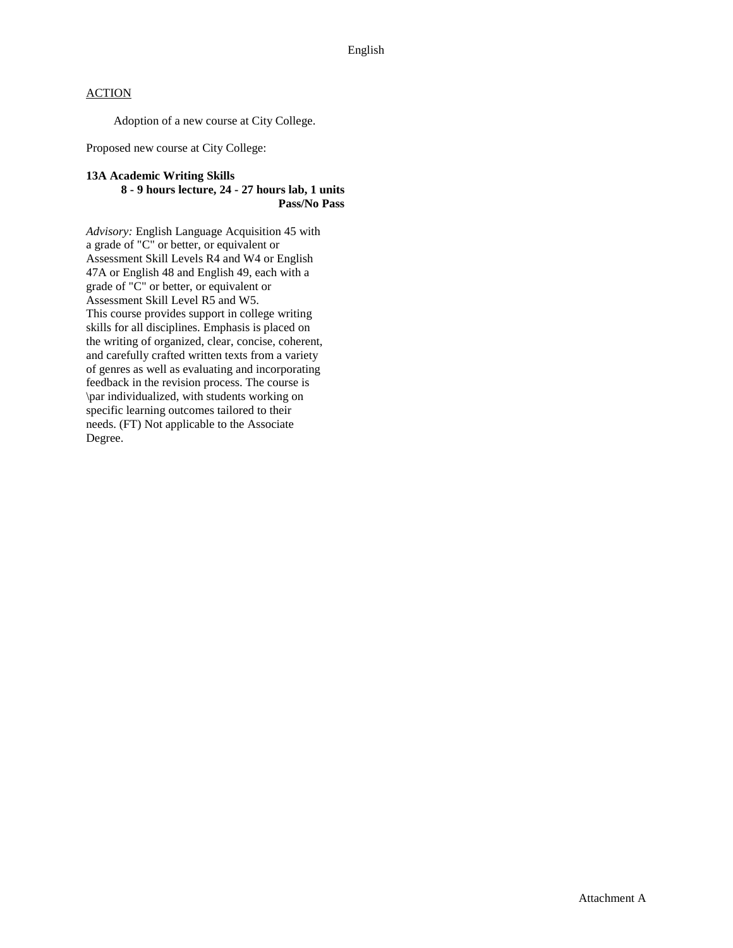Adoption of a new course at City College.

Proposed new course at City College:

#### **13A Academic Writing Skills 8 - 9 hours lecture, 24 - 27 hours lab, 1 units Pass/No Pass**

*Advisory:* English Language Acquisition 45 with a grade of "C" or better, or equivalent or Assessment Skill Levels R4 and W4 or English 47A or English 48 and English 49, each with a grade of "C" or better, or equivalent or Assessment Skill Level R5 and W5. This course provides support in college writing skills for all disciplines. Emphasis is placed on the writing of organized, clear, concise, coherent, and carefully crafted written texts from a variety of genres as well as evaluating and incorporating feedback in the revision process. The course is \par individualized, with students working on specific learning outcomes tailored to their needs. (FT) Not applicable to the Associate Degree.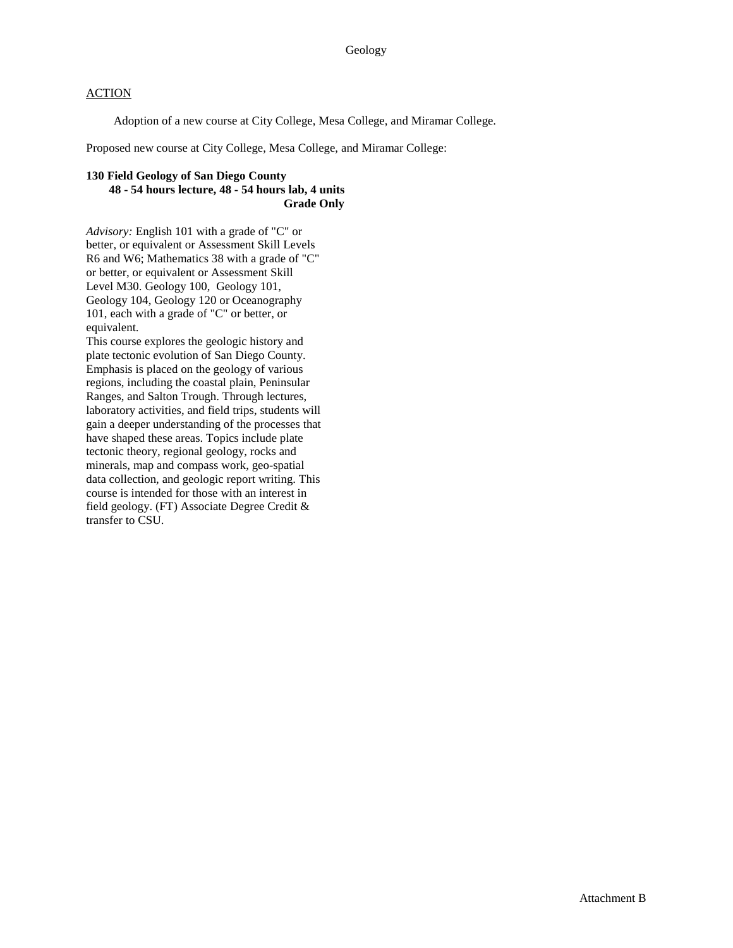Adoption of a new course at City College, Mesa College, and Miramar College.

Proposed new course at City College, Mesa College, and Miramar College:

#### **130 Field Geology of San Diego County 48 - 54 hours lecture, 48 - 54 hours lab, 4 units Grade Only**

*Advisory:* English 101 with a grade of "C" or better, or equivalent or Assessment Skill Levels R6 and W6; Mathematics 38 with a grade of "C" or better, or equivalent or Assessment Skill Level M30. Geology 100, Geology 101, Geology 104, Geology 120 or Oceanography 101, each with a grade of "C" or better, or equivalent.

This course explores the geologic history and plate tectonic evolution of San Diego County. Emphasis is placed on the geology of various regions, including the coastal plain, Peninsular Ranges, and Salton Trough. Through lectures, laboratory activities, and field trips, students will gain a deeper understanding of the processes that have shaped these areas. Topics include plate tectonic theory, regional geology, rocks and minerals, map and compass work, geo-spatial data collection, and geologic report writing. This course is intended for those with an interest in field geology. (FT) Associate Degree Credit & transfer to CSU.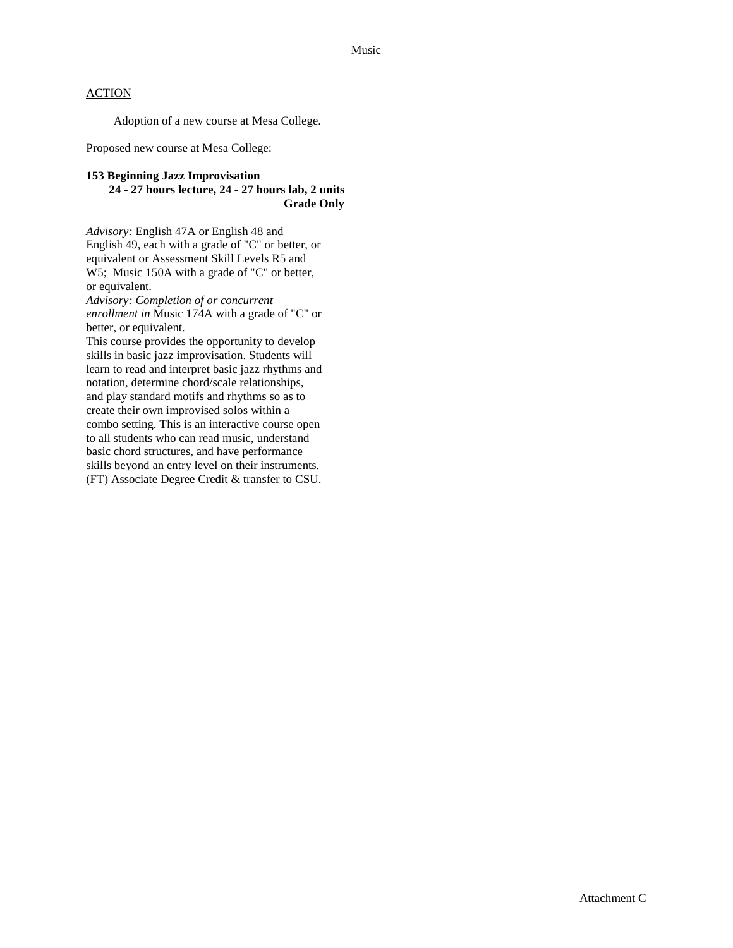Adoption of a new course at Mesa College.

Proposed new course at Mesa College:

#### **153 Beginning Jazz Improvisation 24 - 27 hours lecture, 24 - 27 hours lab, 2 units Grade Only**

*Advisory:* English 47A or English 48 and English 49, each with a grade of "C" or better, or equivalent or Assessment Skill Levels R5 and W5; Music 150A with a grade of "C" or better, or equivalent.

*Advisory: Completion of or concurrent enrollment in* Music 174A with a grade of "C" or better, or equivalent.

This course provides the opportunity to develop skills in basic jazz improvisation. Students will learn to read and interpret basic jazz rhythms and notation, determine chord/scale relationships, and play standard motifs and rhythms so as to create their own improvised solos within a combo setting. This is an interactive course open to all students who can read music, understand basic chord structures, and have performance skills beyond an entry level on their instruments. (FT) Associate Degree Credit & transfer to CSU.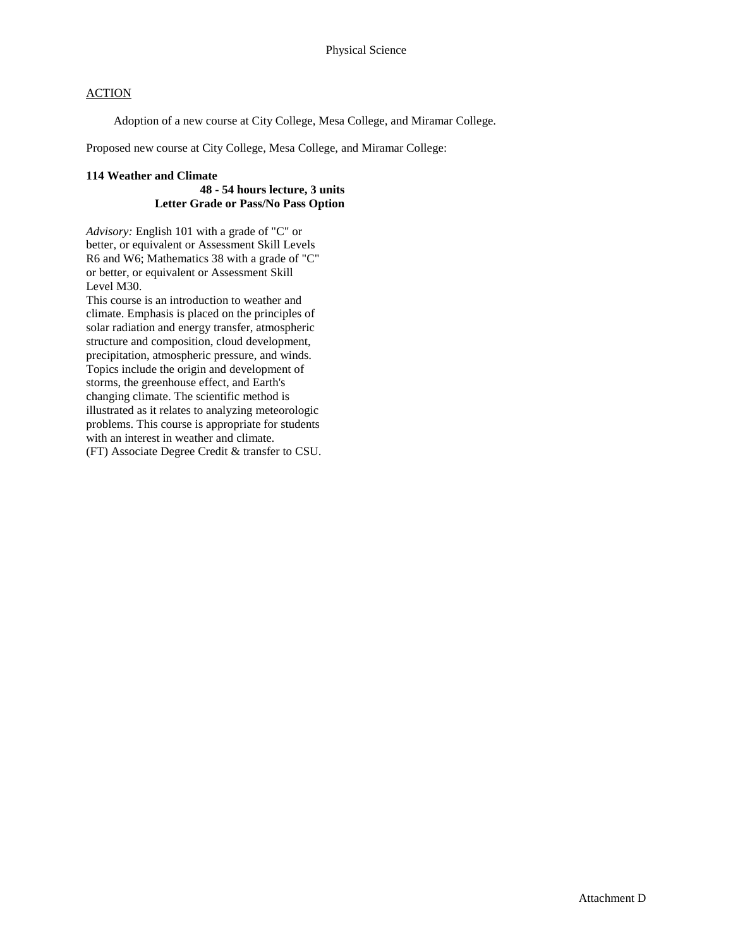Adoption of a new course at City College, Mesa College, and Miramar College.

Proposed new course at City College, Mesa College, and Miramar College:

#### **114 Weather and Climate**

### **48 - 54 hours lecture, 3 units Letter Grade or Pass/No Pass Option**

*Advisory:* English 101 with a grade of "C" or better, or equivalent or Assessment Skill Levels R6 and W6; Mathematics 38 with a grade of "C" or better, or equivalent or Assessment Skill Level M30.

This course is an introduction to weather and climate. Emphasis is placed on the principles of solar radiation and energy transfer, atmospheric structure and composition, cloud development, precipitation, atmospheric pressure, and winds. Topics include the origin and development of storms, the greenhouse effect, and Earth's changing climate. The scientific method is illustrated as it relates to analyzing meteorologic problems. This course is appropriate for students with an interest in weather and climate. (FT) Associate Degree Credit & transfer to CSU.